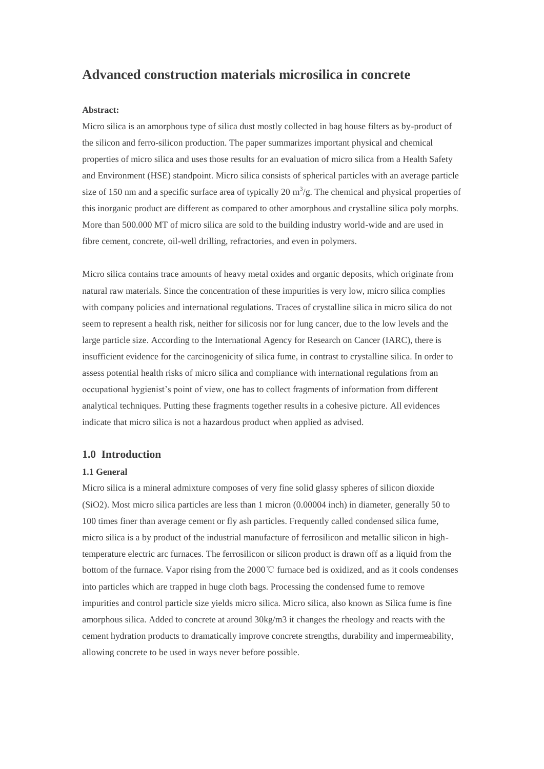# **Advanced construction materials microsilica in concrete**

### **Abstract:**

Micro silica is an amorphous type of silica dust mostly collected in bag house filters as by-product of the silicon and ferro-silicon production. The paper summarizes important physical and chemical properties of micro silica and uses those results for an evaluation of micro silica from a Health Safety and Environment (HSE) standpoint. Micro silica consists of spherical particles with an average particle size of 150 nm and a specific surface area of typically 20  $\text{m}^3/\text{g}$ . The chemical and physical properties of this inorganic product are different as compared to other amorphous and crystalline silica poly morphs. More than 500.000 MT of micro silica are sold to the building industry world-wide and are used in fibre cement, concrete, oil-well drilling, refractories, and even in polymers.

Micro silica contains trace amounts of heavy metal oxides and organic deposits, which originate from natural raw materials. Since the concentration of these impurities is very low, micro silica complies with company policies and international regulations. Traces of crystalline silica in micro silica do not seem to represent a health risk, neither for silicosis nor for lung cancer, due to the low levels and the large particle size. According to the International Agency for Research on Cancer (IARC), there is insufficient evidence for the carcinogenicity of silica fume, in contrast to crystalline silica. In order to assess potential health risks of micro silica and compliance with international regulations from an occupational hygienist's point of view, one has to collect fragments of information from different analytical techniques. Putting these fragments together results in a cohesive picture. All evidences indicate that micro silica is not a hazardous product when applied as advised.

# **1.0 Introduction**

#### **1.1 General**

Micro silica is a mineral admixture composes of very fine solid glassy spheres of silicon dioxide (SiO2). Most micro silica particles are less than 1 micron (0.00004 inch) in diameter, generally 50 to 100 times finer than average cement or fly ash particles. Frequently called condensed silica fume, micro silica is a by product of the industrial manufacture of ferrosilicon and metallic silicon in hightemperature electric arc furnaces. The ferrosilicon or silicon product is drawn off as a liquid from the bottom of the furnace. Vapor rising from the 2000℃ furnace bed is oxidized, and as it cools condenses into particles which are trapped in huge cloth bags. Processing the condensed fume to remove impurities and control particle size yields micro silica. Micro silica, also known as Silica fume is fine amorphous silica. Added to concrete at around 30kg/m3 it changes the rheology and reacts with the cement hydration products to dramatically improve concrete strengths, durability and impermeability, allowing concrete to be used in ways never before possible.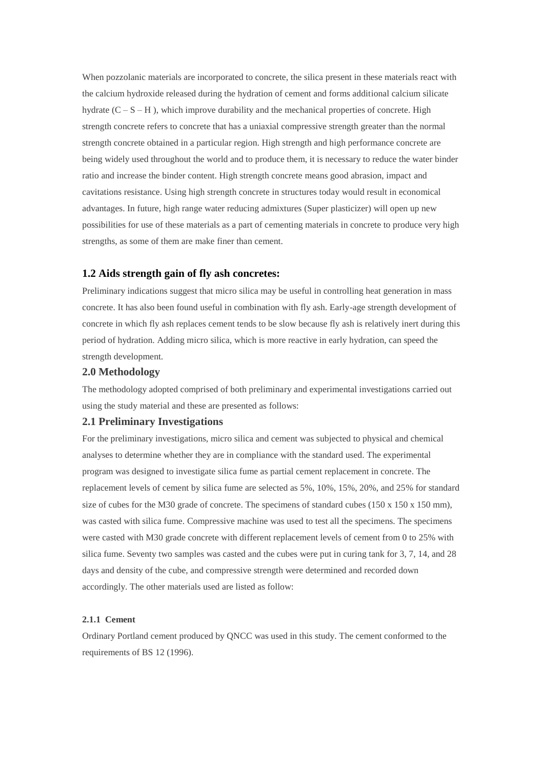When pozzolanic materials are incorporated to concrete, the silica present in these materials react with the calcium hydroxide released during the hydration of cement and forms additional calcium silicate hydrate  $(C - S - H)$ , which improve durability and the mechanical properties of concrete. High strength concrete refers to concrete that has a uniaxial compressive strength greater than the normal strength concrete obtained in a particular region. High strength and high performance concrete are being widely used throughout the world and to produce them, it is necessary to reduce the water binder ratio and increase the binder content. High strength concrete means good abrasion, impact and cavitations resistance. Using high strength concrete in structures today would result in economical advantages. In future, high range water reducing admixtures (Super plasticizer) will open up new possibilities for use of these materials as a part of cementing materials in concrete to produce very high strengths, as some of them are make finer than cement.

# **1.2 Aids strength gain of fly ash concretes:**

Preliminary indications suggest that micro silica may be useful in controlling heat generation in mass concrete. It has also been found useful in combination with fly ash. Early-age strength development of concrete in which fly ash replaces cement tends to be slow because fly ash is relatively inert during this period of hydration. Adding micro silica, which is more reactive in early hydration, can speed the strength development.

## **2.0 Methodology**

The methodology adopted comprised of both preliminary and experimental investigations carried out using the study material and these are presented as follows:

# **2.1 Preliminary Investigations**

For the preliminary investigations, micro silica and cement was subjected to physical and chemical analyses to determine whether they are in compliance with the standard used. The experimental program was designed to investigate silica fume as partial cement replacement in concrete. The replacement levels of cement by silica fume are selected as 5%, 10%, 15%, 20%, and 25% for standard size of cubes for the M30 grade of concrete. The specimens of standard cubes  $(150 \times 150 \times 150 \text{ mm})$ , was casted with silica fume. Compressive machine was used to test all the specimens. The specimens were casted with M30 grade concrete with different replacement levels of cement from 0 to 25% with silica fume. Seventy two samples was casted and the cubes were put in curing tank for 3, 7, 14, and 28 days and density of the cube, and compressive strength were determined and recorded down accordingly. The other materials used are listed as follow:

## **2.1.1 Cement**

Ordinary Portland cement produced by QNCC was used in this study. The cement conformed to the requirements of BS 12 (1996).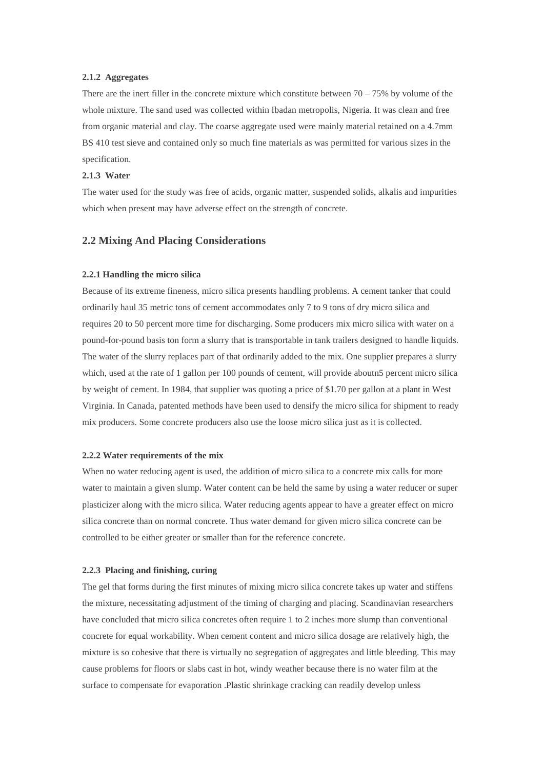# **2.1.2 Aggregates**

There are the inert filler in the concrete mixture which constitute between  $70 - 75\%$  by volume of the whole mixture. The sand used was collected within Ibadan metropolis, Nigeria. It was clean and free from organic material and clay. The coarse aggregate used were mainly material retained on a 4.7mm BS 410 test sieve and contained only so much fine materials as was permitted for various sizes in the specification.

## **2.1.3 Water**

The water used for the study was free of acids, organic matter, suspended solids, alkalis and impurities which when present may have adverse effect on the strength of concrete.

## **2.2 Mixing And Placing Considerations**

## **2.2.1 Handling the micro silica**

Because of its extreme fineness, micro silica presents handling problems. A cement tanker that could ordinarily haul 35 metric tons of cement accommodates only 7 to 9 tons of dry micro silica and requires 20 to 50 percent more time for discharging. Some producers mix micro silica with water on a pound-for-pound basis ton form a slurry that is transportable in tank trailers designed to handle liquids. The water of the slurry replaces part of that ordinarily added to the mix. One supplier prepares a slurry which, used at the rate of 1 gallon per 100 pounds of cement, will provide aboutn5 percent micro silica by weight of cement. In 1984, that supplier was quoting a price of \$1.70 per gallon at a plant in West Virginia. In Canada, patented methods have been used to densify the micro silica for shipment to ready mix producers. Some concrete producers also use the loose micro silica just as it is collected.

#### **2.2.2 Water requirements of the mix**

When no water reducing agent is used, the addition of micro silica to a concrete mix calls for more water to maintain a given slump. Water content can be held the same by using a water reducer or super plasticizer along with the micro silica. Water reducing agents appear to have a greater effect on micro silica concrete than on normal concrete. Thus water demand for given micro silica concrete can be controlled to be either greater or smaller than for the reference concrete.

#### **2.2.3 Placing and finishing, curing**

The gel that forms during the first minutes of mixing micro silica concrete takes up water and stiffens the mixture, necessitating adjustment of the timing of charging and placing. Scandinavian researchers have concluded that micro silica concretes often require 1 to 2 inches more slump than conventional concrete for equal workability. When cement content and micro silica dosage are relatively high, the mixture is so cohesive that there is virtually no segregation of aggregates and little bleeding. This may cause problems for floors or slabs cast in hot, windy weather because there is no water film at the surface to compensate for evaporation .Plastic shrinkage cracking can readily develop unless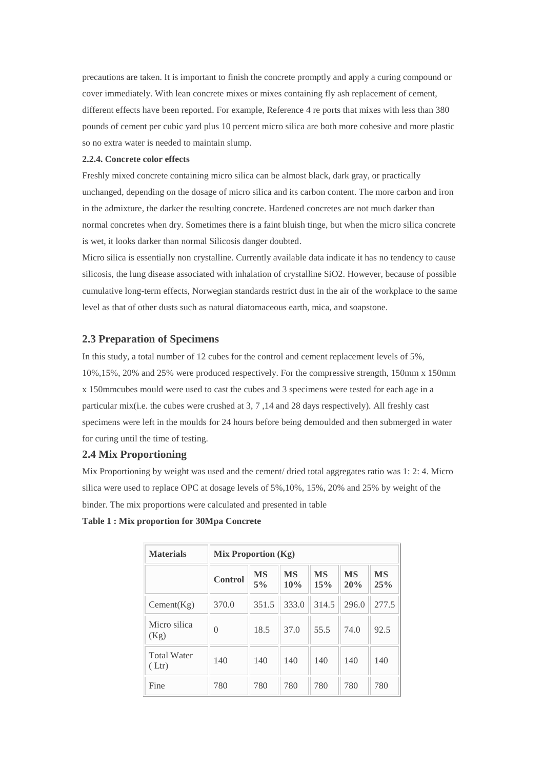precautions are taken. It is important to finish the concrete promptly and apply a curing compound or cover immediately. With lean concrete mixes or mixes containing fly ash replacement of cement, different effects have been reported. For example, Reference 4 re ports that mixes with less than 380 pounds of cement per cubic yard plus 10 percent micro silica are both more cohesive and more plastic so no extra water is needed to maintain slump.

#### **2.2.4. Concrete color effects**

Freshly mixed concrete containing micro silica can be almost black, dark gray, or practically unchanged, depending on the dosage of micro silica and its carbon content. The more carbon and iron in the admixture, the darker the resulting concrete. Hardened concretes are not much darker than normal concretes when dry. Sometimes there is a faint bluish tinge, but when the micro silica concrete is wet, it looks darker than normal Silicosis danger doubted.

Micro silica is essentially non crystalline. Currently available data indicate it has no tendency to cause silicosis, the lung disease associated with inhalation of crystalline SiO2. However, because of possible cumulative long-term effects, Norwegian standards restrict dust in the air of the workplace to the same level as that of other dusts such as natural diatomaceous earth, mica, and soapstone.

# **2.3 Preparation of Specimens**

In this study, a total number of 12 cubes for the control and cement replacement levels of 5%, 10%,15%, 20% and 25% were produced respectively. For the compressive strength, 150mm x 150mm x 150mmcubes mould were used to cast the cubes and 3 specimens were tested for each age in a particular mix(i.e. the cubes were crushed at 3, 7 ,14 and 28 days respectively). All freshly cast specimens were left in the moulds for 24 hours before being demoulded and then submerged in water for curing until the time of testing.

# **2.4 Mix Proportioning**

Mix Proportioning by weight was used and the cement/ dried total aggregates ratio was 1: 2: 4. Micro silica were used to replace OPC at dosage levels of 5%,10%, 15%, 20% and 25% by weight of the binder. The mix proportions were calculated and presented in table

| <b>Materials</b>           | Mix Proportion (Kg) |                 |                  |                  |                  |                  |  |
|----------------------------|---------------------|-----------------|------------------|------------------|------------------|------------------|--|
|                            | Control             | <b>MS</b><br>5% | <b>MS</b><br>10% | <b>MS</b><br>15% | <b>MS</b><br>20% | <b>MS</b><br>25% |  |
| Cement(Kg)                 | 370.0               | 351.5           | 333.0            | 314.5            | 296.0            | 277.5            |  |
| Micro silica<br>(Kg)       | $\left($            | 18.5            | 37.0             | 55.5             | 74.0             | 92.5             |  |
| <b>Total Water</b><br>Ltr) | 140                 | 140             | 140              | 140              | 140              | 140              |  |
| Fine                       | 780                 | 780             | 780              | 780              | 780              | 780              |  |

#### **Table 1 : Mix proportion for 30Mpa Concrete**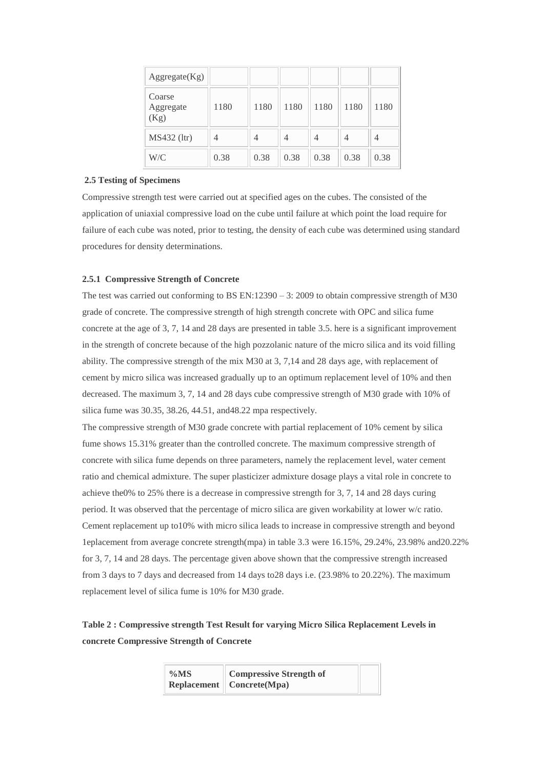| Aggregate(Kg)               |      |      |      |      |      |      |
|-----------------------------|------|------|------|------|------|------|
| Coarse<br>Aggregate<br>(Kg) | 1180 | 1180 | 1180 | 1180 | 1180 | 1180 |
| MS432 (ltr)                 | 4    | 4    | 4    | 4    | 4    | 4    |
| W/C                         | 0.38 | 0.38 | 0.38 | 0.38 | 0.38 | 0.38 |

## **2.5 Testing of Specimens**

Compressive strength test were carried out at specified ages on the cubes. The consisted of the application of uniaxial compressive load on the cube until failure at which point the load require for failure of each cube was noted, prior to testing, the density of each cube was determined using standard procedures for density determinations.

## **2.5.1 Compressive Strength of Concrete**

The test was carried out conforming to BS EN:12390 – 3: 2009 to obtain compressive strength of M30 grade of concrete. The compressive strength of high strength concrete with OPC and silica fume concrete at the age of 3, 7, 14 and 28 days are presented in table 3.5. here is a significant improvement in the strength of concrete because of the high pozzolanic nature of the micro silica and its void filling ability. The compressive strength of the mix M30 at 3, 7,14 and 28 days age, with replacement of cement by micro silica was increased gradually up to an optimum replacement level of 10% and then decreased. The maximum 3, 7, 14 and 28 days cube compressive strength of M30 grade with 10% of silica fume was 30.35, 38.26, 44.51, and48.22 mpa respectively.

The compressive strength of M30 grade concrete with partial replacement of 10% cement by silica fume shows 15.31% greater than the controlled concrete. The maximum compressive strength of concrete with silica fume depends on three parameters, namely the replacement level, water cement ratio and chemical admixture. The super plasticizer admixture dosage plays a vital role in concrete to achieve the0% to 25% there is a decrease in compressive strength for 3, 7, 14 and 28 days curing period. It was observed that the percentage of micro silica are given workability at lower w/c ratio. Cement replacement up to10% with micro silica leads to increase in compressive strength and beyond 1eplacement from average concrete strength(mpa) in table 3.3 were 16.15%, 29.24%, 23.98% and20.22% for 3, 7, 14 and 28 days. The percentage given above shown that the compressive strength increased from 3 days to 7 days and decreased from 14 days to28 days i.e. (23.98% to 20.22%). The maximum replacement level of silica fume is 10% for M30 grade.

# **Table 2 : Compressive strength Test Result for varying Micro Silica Replacement Levels in concrete Compressive Strength of Concrete**

| $\%MS$ | <b>Compressive Strength of</b>         |  |
|--------|----------------------------------------|--|
|        | $Replacement \parallel Concrete (Mpa)$ |  |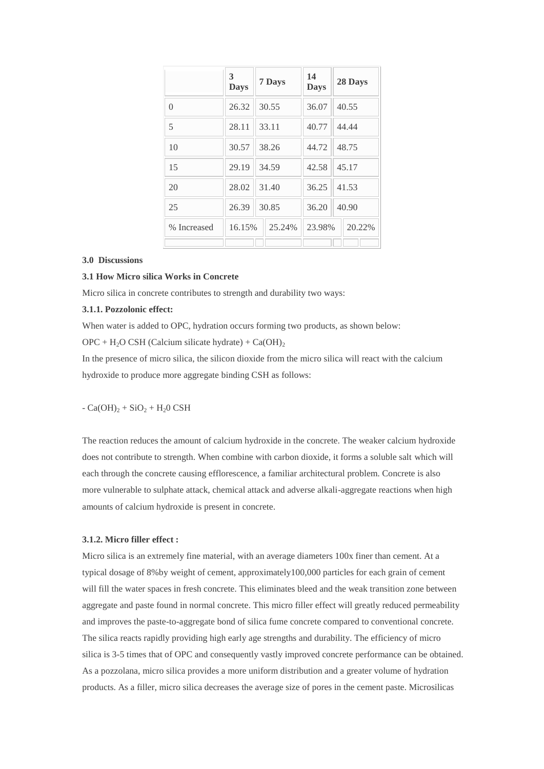|             | 3<br><b>Days</b> | 7 Days                  | 14<br><b>Days</b> | 28 Days |  |
|-------------|------------------|-------------------------|-------------------|---------|--|
| $\theta$    | 26.32            | 30.55                   | 36.07             | 40.55   |  |
| 5           | 28.11            | 40.77<br>33.11<br>44.44 |                   |         |  |
| 10          | 30.57            | 48.75<br>38.26<br>44.72 |                   |         |  |
| 15          | 29.19            | 34.59                   | 42.58             | 45.17   |  |
| 20          | 28.02            | 36.25<br>31.40<br>41.53 |                   |         |  |
| 25          | 26.39            | 30.85                   | 36.20             | 40.90   |  |
| % Increased | 16.15%           | 25.24%                  | 23.98%            | 20.22%  |  |
|             |                  |                         |                   |         |  |

#### **3.0 Discussions**

# **3.1 How Micro silica Works in Concrete**

Micro silica in concrete contributes to strength and durability two ways:

## **3.1.1. Pozzolonic effect:**

When water is added to OPC, hydration occurs forming two products, as shown below:  $OPC + H<sub>2</sub>O CSH (Calcium silicate hydrate) + Ca(OH)<sub>2</sub>$ 

In the presence of micro silica, the silicon dioxide from the micro silica will react with the calcium hydroxide to produce more aggregate binding CSH as follows:

 $-Ca(OH)<sub>2</sub> + SiO<sub>2</sub> + H<sub>2</sub>O CSH$ 

The reaction reduces the amount of calcium hydroxide in the concrete. The weaker calcium hydroxide does not contribute to strength. When combine with carbon dioxide, it forms a soluble salt which will each through the concrete causing efflorescence, a familiar architectural problem. Concrete is also more vulnerable to sulphate attack, chemical attack and adverse alkali-aggregate reactions when high amounts of calcium hydroxide is present in concrete.

### **3.1.2. Micro filler effect :**

Micro silica is an extremely fine material, with an average diameters 100x finer than cement. At a typical dosage of 8%by weight of cement, approximately100,000 particles for each grain of cement will fill the water spaces in fresh concrete. This eliminates bleed and the weak transition zone between aggregate and paste found in normal concrete. This micro filler effect will greatly reduced permeability and improves the paste-to-aggregate bond of silica fume concrete compared to conventional concrete. The silica reacts rapidly providing high early age strengths and durability. The efficiency of micro silica is 3-5 times that of OPC and consequently vastly improved concrete performance can be obtained. As a pozzolana, micro silica provides a more uniform distribution and a greater volume of hydration products. As a filler, micro silica decreases the average size of pores in the cement paste. Microsilicas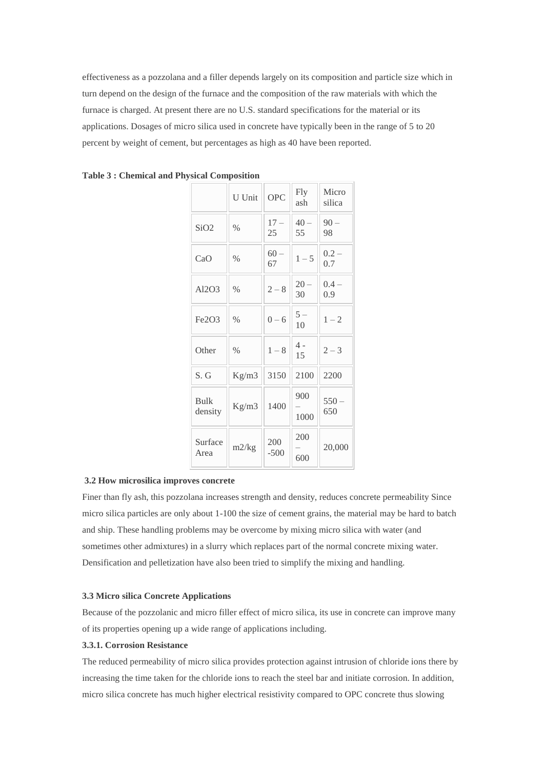effectiveness as a pozzolana and a filler depends largely on its composition and particle size which in turn depend on the design of the furnace and the composition of the raw materials with which the furnace is charged. At present there are no U.S. standard specifications for the material or its applications. Dosages of micro silica used in concrete have typically been in the range of 5 to 20 percent by weight of cement, but percentages as high as 40 have been reported.

|                        | U Unit        | <b>OPC</b>    | <b>Fly</b><br>ash | Micro<br>silica |  |
|------------------------|---------------|---------------|-------------------|-----------------|--|
| SiO <sub>2</sub>       | $\frac{0}{0}$ | $17 -$<br>25  | $40 -$<br>55      | $90 -$<br>98    |  |
| CaO                    | $\%$          | $60 -$<br>67  | $1 - 5$           | $0.2 -$<br>0.7  |  |
| AI2O3                  | $\frac{0}{0}$ | $2 - 8$       | $20 -$<br>30      | $0.4 -$<br>0.9  |  |
| Fe2O3                  | $\frac{0}{0}$ | $0 - 6$       | $5-$<br>10        | $1 - 2$         |  |
| Other                  | $\%$          | $1 - 8$       | $4 -$<br>15       | $2 - 3$         |  |
| S. G                   | Kg/m3         | 3150          | 2100              | 2200            |  |
| <b>Bulk</b><br>density | Kg/m3         | 1400          | 900<br>1000       | $550 -$<br>650  |  |
| Surface<br>Area        | m2/kg         | 200<br>$-500$ | 200<br>600        | 20,000          |  |

| <b>Table 3: Chemical and Physical Composition</b> |  |  |  |  |  |
|---------------------------------------------------|--|--|--|--|--|
|---------------------------------------------------|--|--|--|--|--|

## **3.2 How microsilica improves concrete**

Finer than fly ash, this pozzolana increases strength and density, reduces concrete permeability Since micro silica particles are only about 1-100 the size of cement grains, the material may be hard to batch and ship. These handling problems may be overcome by mixing micro silica with water (and sometimes other admixtures) in a slurry which replaces part of the normal concrete mixing water. Densification and pelletization have also been tried to simplify the mixing and handling.

## **3.3 Micro silica Concrete Applications**

Because of the pozzolanic and micro filler effect of micro silica, its use in concrete can improve many of its properties opening up a wide range of applications including.

## **3.3.1. Corrosion Resistance**

The reduced permeability of micro silica provides protection against intrusion of chloride ions there by increasing the time taken for the chloride ions to reach the steel bar and initiate corrosion. In addition, micro silica concrete has much higher electrical resistivity compared to OPC concrete thus slowing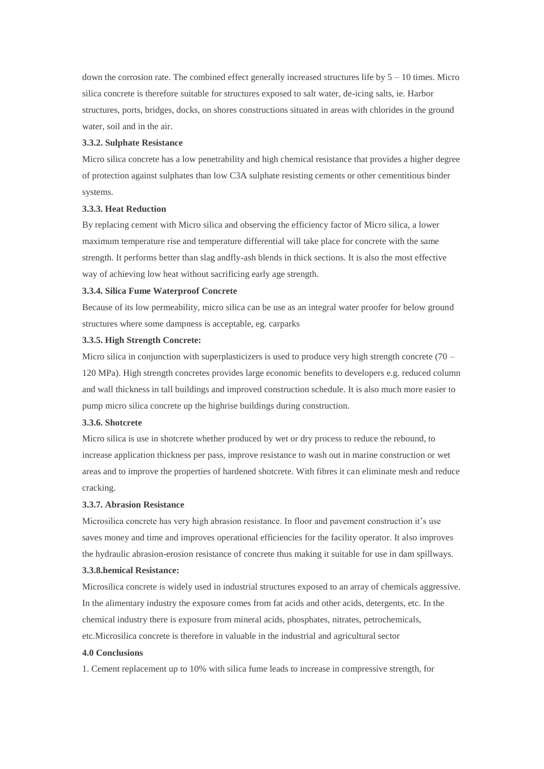down the corrosion rate. The combined effect generally increased structures life by  $5 - 10$  times. Micro silica concrete is therefore suitable for structures exposed to salt water, de-icing salts, ie. Harbor structures, ports, bridges, docks, on shores constructions situated in areas with chlorides in the ground water, soil and in the air.

#### **3.3.2. Sulphate Resistance**

Micro silica concrete has a low penetrability and high chemical resistance that provides a higher degree of protection against sulphates than low C3A sulphate resisting cements or other cementitious binder systems.

## **3.3.3. Heat Reduction**

By replacing cement with Micro silica and observing the efficiency factor of Micro silica, a lower maximum temperature rise and temperature differential will take place for concrete with the same strength. It performs better than slag andfly-ash blends in thick sections. It is also the most effective way of achieving low heat without sacrificing early age strength.

#### **3.3.4. Silica Fume Waterproof Concrete**

Because of its low permeability, micro silica can be use as an integral water proofer for below ground structures where some dampness is acceptable, eg. carparks

### **3.3.5. High Strength Concrete:**

Micro silica in conjunction with superplasticizers is used to produce very high strength concrete  $(70 -$ 120 MPa). High strength concretes provides large economic benefits to developers e.g. reduced column and wall thickness in tall buildings and improved construction schedule. It is also much more easier to pump micro silica concrete up the highrise buildings during construction.

#### **3.3.6. Shotcrete**

Micro silica is use in shotcrete whether produced by wet or dry process to reduce the rebound, to increase application thickness per pass, improve resistance to wash out in marine construction or wet areas and to improve the properties of hardened shotcrete. With fibres it can eliminate mesh and reduce cracking.

### **3.3.7. Abrasion Resistance**

Microsilica concrete has very high abrasion resistance. In floor and pavement construction it's use saves money and time and improves operational efficiencies for the facility operator. It also improves the hydraulic abrasion-erosion resistance of concrete thus making it suitable for use in dam spillways.

#### **3.3.8.hemical Resistance:**

Microsilica concrete is widely used in industrial structures exposed to an array of chemicals aggressive. In the alimentary industry the exposure comes from fat acids and other acids, detergents, etc. In the chemical industry there is exposure from mineral acids, phosphates, nitrates, petrochemicals, etc.Microsilica concrete is therefore in valuable in the industrial and agricultural sector

#### **4.0 Conclusions**

1. Cement replacement up to 10% with silica fume leads to increase in compressive strength, for